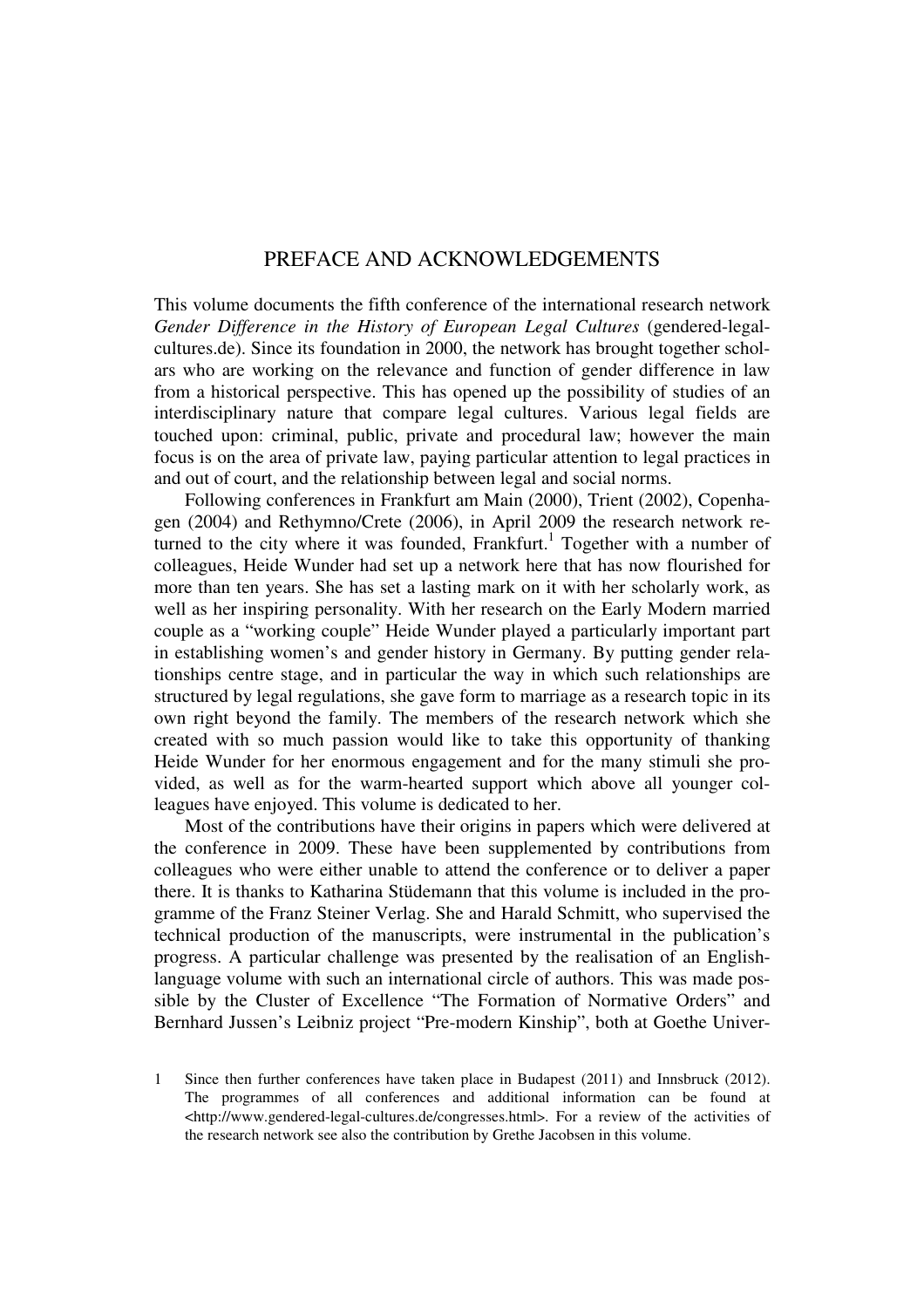# PREFACE AND ACKNOWLEDGEMENTS

This volume documents the fifth conference of the international research network *Gender Difference in the History of European Legal Cultures* (gendered-legalcultures.de). Since its foundation in 2000, the network has brought together scholars who are working on the relevance and function of gender difference in law from a historical perspective. This has opened up the possibility of studies of an interdisciplinary nature that compare legal cultures. Various legal fields are touched upon: criminal, public, private and procedural law; however the main focus is on the area of private law, paying particular attention to legal practices in and out of court, and the relationship between legal and social norms.

Following conferences in Frankfurt am Main (2000), Trient (2002), Copenhagen (2004) and Rethymno/Crete (2006), in April 2009 the research network returned to the city where it was founded, Frankfurt.<sup>1</sup> Together with a number of colleagues, Heide Wunder had set up a network here that has now flourished for more than ten years. She has set a lasting mark on it with her scholarly work, as well as her inspiring personality. With her research on the Early Modern married couple as a "working couple" Heide Wunder played a particularly important part in establishing women's and gender history in Germany. By putting gender relationships centre stage, and in particular the way in which such relationships are structured by legal regulations, she gave form to marriage as a research topic in its own right beyond the family. The members of the research network which she created with so much passion would like to take this opportunity of thanking Heide Wunder for her enormous engagement and for the many stimuli she provided, as well as for the warm-hearted support which above all younger colleagues have enjoyed. This volume is dedicated to her.

Most of the contributions have their origins in papers which were delivered at the conference in 2009. These have been supplemented by contributions from colleagues who were either unable to attend the conference or to deliver a paper there. It is thanks to Katharina Stüdemann that this volume is included in the programme of the Franz Steiner Verlag. She and Harald Schmitt, who supervised the technical production of the manuscripts, were instrumental in the publication's progress. A particular challenge was presented by the realisation of an Englishlanguage volume with such an international circle of authors. This was made possible by the Cluster of Excellence "The Formation of Normative Orders" and Bernhard Jussen's Leibniz project "Pre-modern Kinship", both at Goethe Univer-

<sup>1</sup> Since then further conferences have taken place in Budapest (2011) and Innsbruck (2012). The programmes of all conferences and additional information can be found at <http://www.gendered-legal-cultures.de/congresses.html>. For a review of the activities of the research network see also the contribution by Grethe Jacobsen in this volume.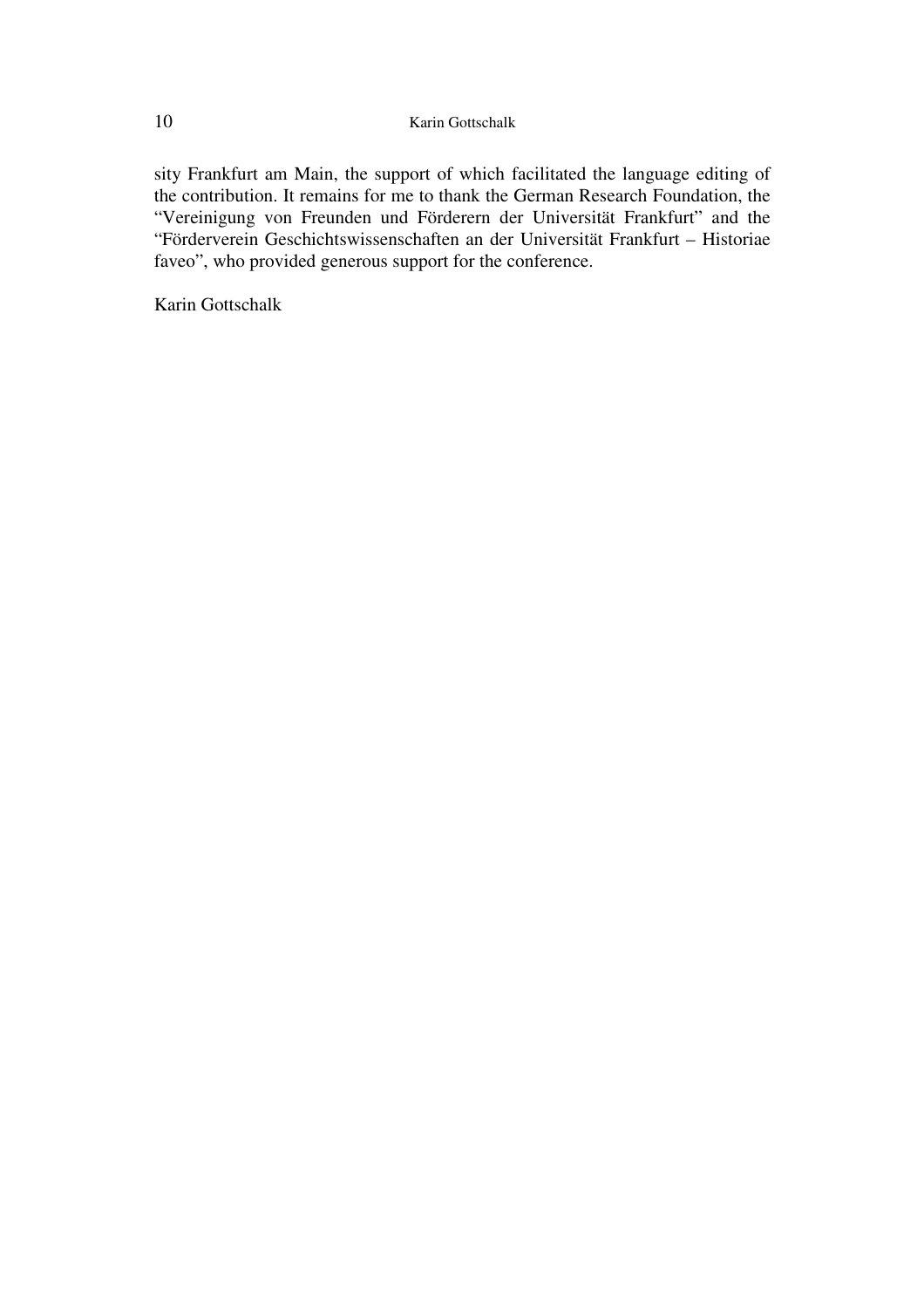sity Frankfurt am Main, the support of which facilitated the language editing of the contribution. It remains for me to thank the German Research Foundation, the "Vereinigung von Freunden und Förderern der Universität Frankfurt" and the "Förderverein Geschichtswissenschaften an der Universität Frankfurt – Historiae faveo", who provided generous support for the conference.

Karin Gottschalk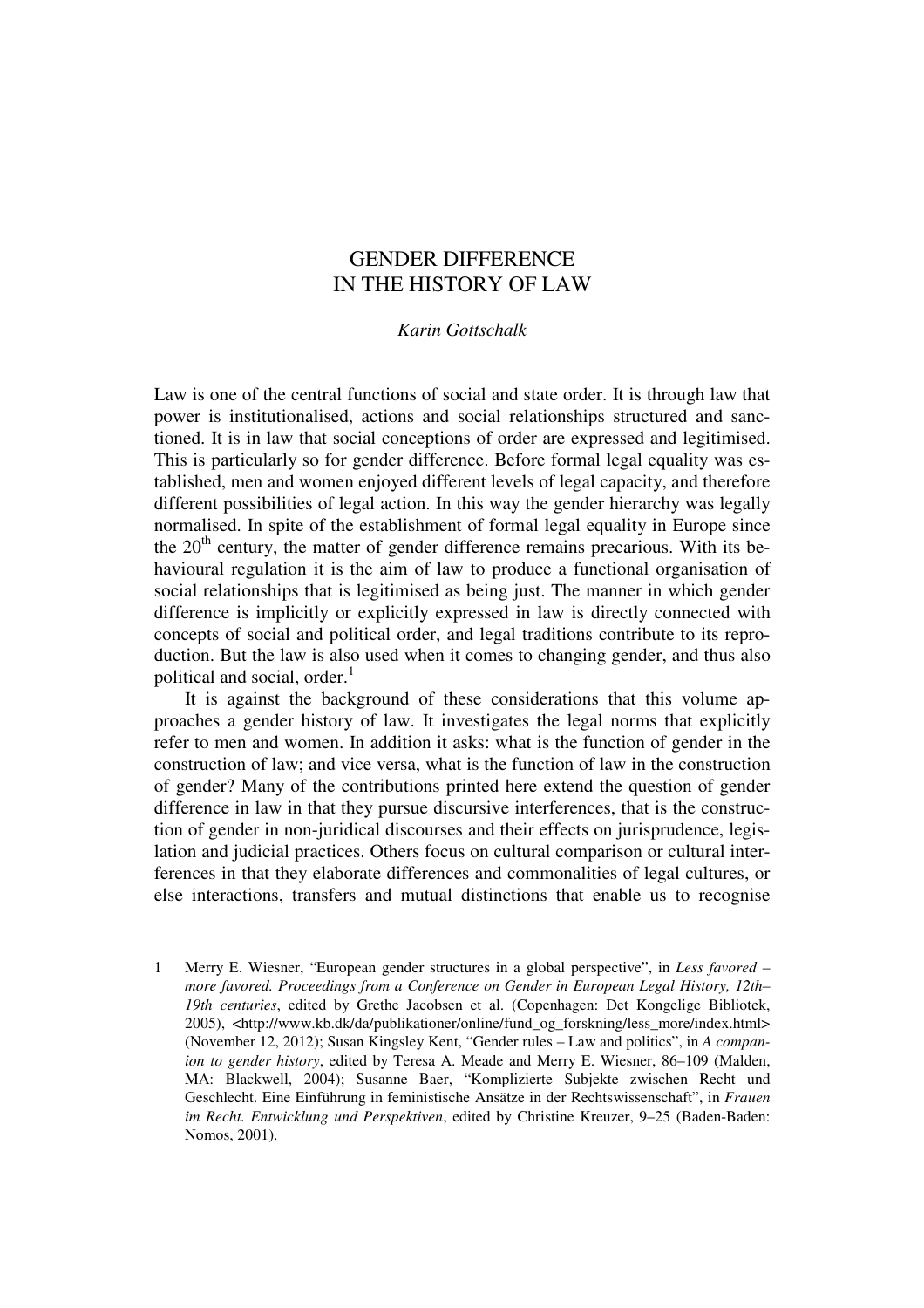# GENDER DIFFERENCE IN THE HISTORY OF LAW

## *Karin Gottschalk*

Law is one of the central functions of social and state order. It is through law that power is institutionalised, actions and social relationships structured and sanctioned. It is in law that social conceptions of order are expressed and legitimised. This is particularly so for gender difference. Before formal legal equality was established, men and women enjoyed different levels of legal capacity, and therefore different possibilities of legal action. In this way the gender hierarchy was legally normalised. In spite of the establishment of formal legal equality in Europe since the  $20<sup>th</sup>$  century, the matter of gender difference remains precarious. With its behavioural regulation it is the aim of law to produce a functional organisation of social relationships that is legitimised as being just. The manner in which gender difference is implicitly or explicitly expressed in law is directly connected with concepts of social and political order, and legal traditions contribute to its reproduction. But the law is also used when it comes to changing gender, and thus also political and social, order. $<sup>1</sup>$ </sup>

It is against the background of these considerations that this volume approaches a gender history of law. It investigates the legal norms that explicitly refer to men and women. In addition it asks: what is the function of gender in the construction of law; and vice versa, what is the function of law in the construction of gender? Many of the contributions printed here extend the question of gender difference in law in that they pursue discursive interferences, that is the construction of gender in non-juridical discourses and their effects on jurisprudence, legislation and judicial practices. Others focus on cultural comparison or cultural interferences in that they elaborate differences and commonalities of legal cultures, or else interactions, transfers and mutual distinctions that enable us to recognise

1 Merry E. Wiesner, "European gender structures in a global perspective", in *Less favored – more favored. Proceedings from a Conference on Gender in European Legal History, 12th– 19th centuries*, edited by Grethe Jacobsen et al. (Copenhagen: Det Kongelige Bibliotek, 2005), <http://www.kb.dk/da/publikationer/online/fund\_og\_forskning/less\_more/index.html> (November 12, 2012); Susan Kingsley Kent, "Gender rules – Law and politics", in *A companion to gender history*, edited by Teresa A. Meade and Merry E. Wiesner, 86–109 (Malden, MA: Blackwell, 2004); Susanne Baer, "Komplizierte Subjekte zwischen Recht und Geschlecht. Eine Einführung in feministische Ansätze in der Rechtswissenschaft", in *Frauen im Recht. Entwicklung und Perspektiven*, edited by Christine Kreuzer, 9–25 (Baden-Baden: Nomos, 2001).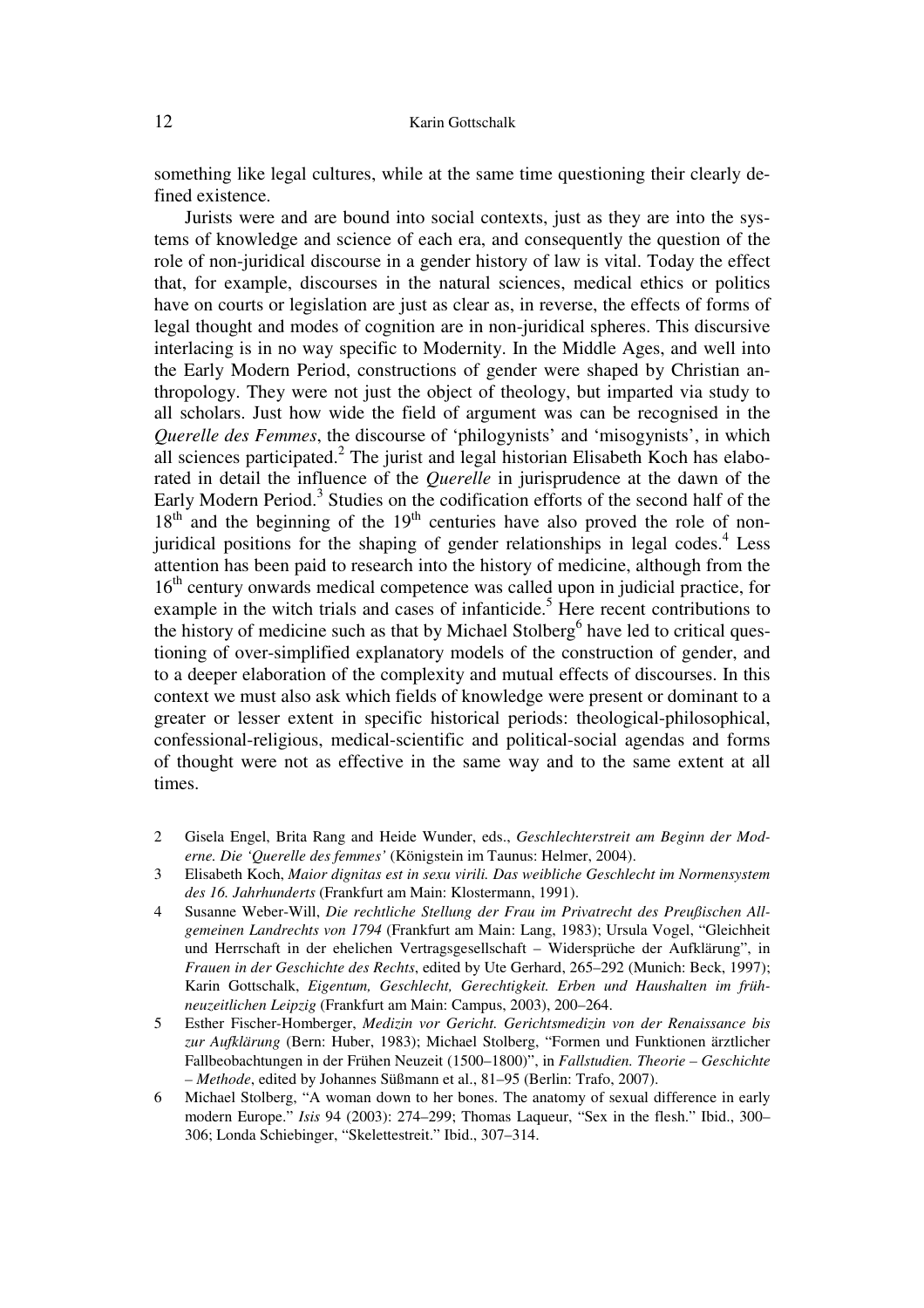### 12 Karin Gottschalk

something like legal cultures, while at the same time questioning their clearly defined existence.

Jurists were and are bound into social contexts, just as they are into the systems of knowledge and science of each era, and consequently the question of the role of non-juridical discourse in a gender history of law is vital. Today the effect that, for example, discourses in the natural sciences, medical ethics or politics have on courts or legislation are just as clear as, in reverse, the effects of forms of legal thought and modes of cognition are in non-juridical spheres. This discursive interlacing is in no way specific to Modernity. In the Middle Ages, and well into the Early Modern Period, constructions of gender were shaped by Christian anthropology. They were not just the object of theology, but imparted via study to all scholars. Just how wide the field of argument was can be recognised in the *Querelle des Femmes*, the discourse of 'philogynists' and 'misogynists', in which all sciences participated.<sup>2</sup> The jurist and legal historian Elisabeth Koch has elaborated in detail the influence of the *Querelle* in jurisprudence at the dawn of the Early Modern Period.<sup>3</sup> Studies on the codification efforts of the second half of the  $18<sup>th</sup>$  and the beginning of the  $19<sup>th</sup>$  centuries have also proved the role of nonjuridical positions for the shaping of gender relationships in legal codes.<sup>4</sup> Less attention has been paid to research into the history of medicine, although from the 16<sup>th</sup> century onwards medical competence was called upon in judicial practice, for example in the witch trials and cases of infanticide.<sup>5</sup> Here recent contributions to the history of medicine such as that by Michael Stolberg<sup>6</sup> have led to critical questioning of over-simplified explanatory models of the construction of gender, and to a deeper elaboration of the complexity and mutual effects of discourses. In this context we must also ask which fields of knowledge were present or dominant to a greater or lesser extent in specific historical periods: theological-philosophical, confessional-religious, medical-scientific and political-social agendas and forms of thought were not as effective in the same way and to the same extent at all times.

- 2 Gisela Engel, Brita Rang and Heide Wunder, eds., *Geschlechterstreit am Beginn der Moderne. Die 'Querelle des femmes'* (Königstein im Taunus: Helmer, 2004).
- 3 Elisabeth Koch, *Maior dignitas est in sexu virili. Das weibliche Geschlecht im Normensystem des 16. Jahrhunderts* (Frankfurt am Main: Klostermann, 1991).
- 4 Susanne Weber-Will, *Die rechtliche Stellung der Frau im Privatrecht des Preußischen Allgemeinen Landrechts von 1794* (Frankfurt am Main: Lang, 1983); Ursula Vogel, "Gleichheit und Herrschaft in der ehelichen Vertragsgesellschaft – Widersprüche der Aufklärung", in *Frauen in der Geschichte des Rechts*, edited by Ute Gerhard, 265–292 (Munich: Beck, 1997); Karin Gottschalk, *Eigentum, Geschlecht, Gerechtigkeit. Erben und Haushalten im frühneuzeitlichen Leipzig* (Frankfurt am Main: Campus, 2003), 200–264.
- 5 Esther Fischer-Homberger, *Medizin vor Gericht. Gerichtsmedizin von der Renaissance bis zur Aufklärung* (Bern: Huber, 1983); Michael Stolberg, "Formen und Funktionen ärztlicher Fallbeobachtungen in der Frühen Neuzeit (1500–1800)", in *Fallstudien. Theorie – Geschichte – Methode*, edited by Johannes Süßmann et al., 81–95 (Berlin: Trafo, 2007).
- 6 Michael Stolberg, "A woman down to her bones. The anatomy of sexual difference in early modern Europe." *Isis* 94 (2003): 274–299; Thomas Laqueur, "Sex in the flesh." Ibid., 300– 306; Londa Schiebinger, "Skelettestreit." Ibid., 307–314.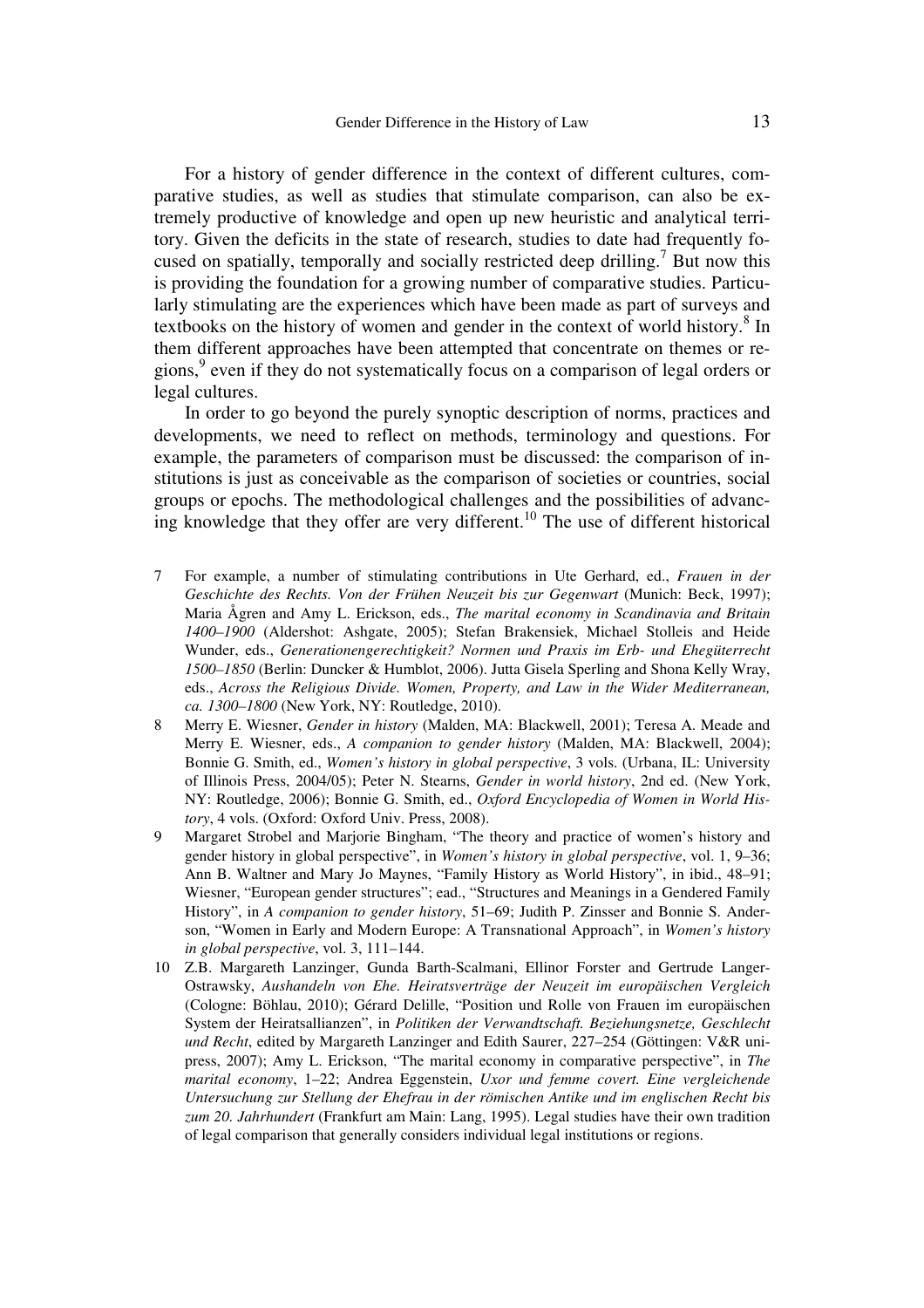For a history of gender difference in the context of different cultures, comparative studies, as well as studies that stimulate comparison, can also be extremely productive of knowledge and open up new heuristic and analytical territory. Given the deficits in the state of research, studies to date had frequently focused on spatially, temporally and socially restricted deep drilling.<sup>7</sup> But now this is providing the foundation for a growing number of comparative studies. Particularly stimulating are the experiences which have been made as part of surveys and textbooks on the history of women and gender in the context of world history.<sup>8</sup> In them different approaches have been attempted that concentrate on themes or regions,<sup>9</sup> even if they do not systematically focus on a comparison of legal orders or legal cultures.

In order to go beyond the purely synoptic description of norms, practices and developments, we need to reflect on methods, terminology and questions. For example, the parameters of comparison must be discussed: the comparison of institutions is just as conceivable as the comparison of societies or countries, social groups or epochs. The methodological challenges and the possibilities of advancing knowledge that they offer are very different.<sup>10</sup> The use of different historical

- 7 For example, a number of stimulating contributions in Ute Gerhard, ed., *Frauen in der Geschichte des Rechts. Von der Frühen Neuzeit bis zur Gegenwart* (Munich: Beck, 1997); Maria Ågren and Amy L. Erickson, eds., *The marital economy in Scandinavia and Britain 1400–1900* (Aldershot: Ashgate, 2005); Stefan Brakensiek, Michael Stolleis and Heide Wunder, eds., *Generationengerechtigkeit? Normen und Praxis im Erb- und Ehegüterrecht 1500–1850* (Berlin: Duncker & Humblot, 2006). Jutta Gisela Sperling and Shona Kelly Wray, eds., *Across the Religious Divide. Women, Property, and Law in the Wider Mediterranean, ca. 1300–1800* (New York, NY: Routledge, 2010).
- 8 Merry E. Wiesner, *Gender in history* (Malden, MA: Blackwell, 2001); Teresa A. Meade and Merry E. Wiesner, eds., *A companion to gender history* (Malden, MA: Blackwell, 2004); Bonnie G. Smith, ed., *Women's history in global perspective*, 3 vols. (Urbana, IL: University of Illinois Press, 2004/05); Peter N. Stearns, *Gender in world history*, 2nd ed. (New York, NY: Routledge, 2006); Bonnie G. Smith, ed., *Oxford Encyclopedia of Women in World History*, 4 vols. (Oxford: Oxford Univ. Press, 2008).
- 9 Margaret Strobel and Marjorie Bingham, "The theory and practice of women's history and gender history in global perspective", in *Women's history in global perspective*, vol. 1, 9–36; Ann B. Waltner and Mary Jo Maynes, "Family History as World History", in ibid., 48–91; Wiesner, "European gender structures"; ead., "Structures and Meanings in a Gendered Family History", in *A companion to gender history*, 51–69; Judith P. Zinsser and Bonnie S. Anderson, "Women in Early and Modern Europe: A Transnational Approach", in *Women's history in global perspective*, vol. 3, 111–144.
- 10 Z.B. Margareth Lanzinger, Gunda Barth-Scalmani, Ellinor Forster and Gertrude Langer-Ostrawsky, *Aushandeln von Ehe. Heiratsverträge der Neuzeit im europäischen Vergleich* (Cologne: Böhlau, 2010); Gérard Delille, "Position und Rolle von Frauen im europäischen System der Heiratsallianzen", in *Politiken der Verwandtschaft. Beziehungsnetze, Geschlecht und Recht*, edited by Margareth Lanzinger and Edith Saurer, 227–254 (Göttingen: V&R unipress, 2007); Amy L. Erickson, "The marital economy in comparative perspective", in *The marital economy*, 1–22; Andrea Eggenstein, *Uxor und femme covert. Eine vergleichende Untersuchung zur Stellung der Ehefrau in der römischen Antike und im englischen Recht bis zum 20. Jahrhundert* (Frankfurt am Main: Lang, 1995). Legal studies have their own tradition of legal comparison that generally considers individual legal institutions or regions.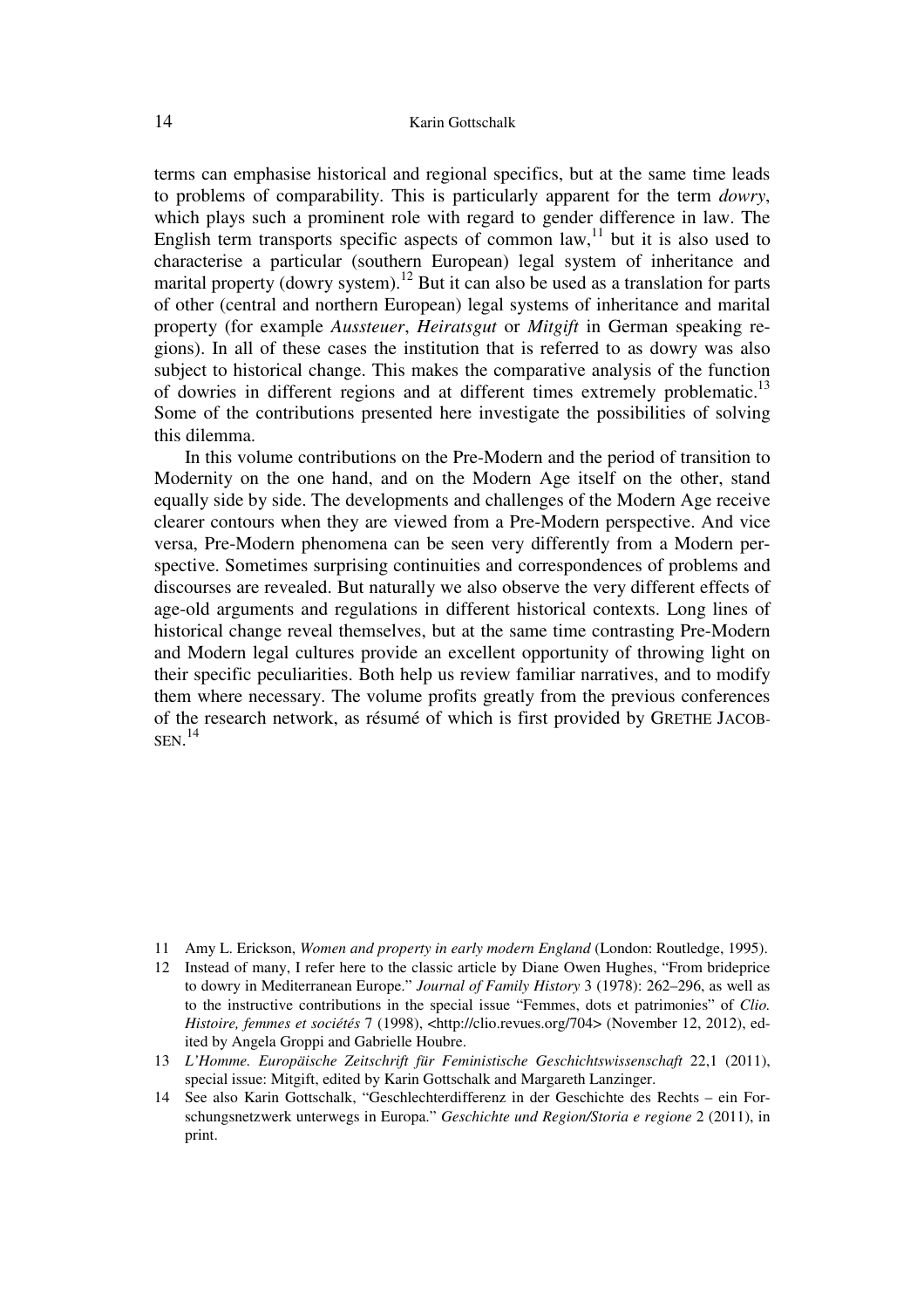terms can emphasise historical and regional specifics, but at the same time leads to problems of comparability. This is particularly apparent for the term *dowry*, which plays such a prominent role with regard to gender difference in law. The English term transports specific aspects of common  $law<sub>11</sub>$  but it is also used to characterise a particular (southern European) legal system of inheritance and marital property (dowry system).<sup>12</sup> But it can also be used as a translation for parts of other (central and northern European) legal systems of inheritance and marital property (for example *Aussteuer*, *Heiratsgut* or *Mitgift* in German speaking regions). In all of these cases the institution that is referred to as dowry was also subject to historical change. This makes the comparative analysis of the function of dowries in different regions and at different times extremely problematic.<sup>13</sup> Some of the contributions presented here investigate the possibilities of solving this dilemma.

In this volume contributions on the Pre-Modern and the period of transition to Modernity on the one hand, and on the Modern Age itself on the other, stand equally side by side. The developments and challenges of the Modern Age receive clearer contours when they are viewed from a Pre-Modern perspective. And vice versa, Pre-Modern phenomena can be seen very differently from a Modern perspective. Sometimes surprising continuities and correspondences of problems and discourses are revealed. But naturally we also observe the very different effects of age-old arguments and regulations in different historical contexts. Long lines of historical change reveal themselves, but at the same time contrasting Pre-Modern and Modern legal cultures provide an excellent opportunity of throwing light on their specific peculiarities. Both help us review familiar narratives, and to modify them where necessary. The volume profits greatly from the previous conferences of the research network, as résumé of which is first provided by GRETHE JACOB- $SEN.<sup>14</sup>$ 

<sup>11</sup> Amy L. Erickson, *Women and property in early modern England* (London: Routledge, 1995).

<sup>12</sup> Instead of many, I refer here to the classic article by Diane Owen Hughes, "From brideprice to dowry in Mediterranean Europe." *Journal of Family History* 3 (1978): 262–296, as well as to the instructive contributions in the special issue "Femmes, dots et patrimonies" of *Clio. Histoire, femmes et sociétés* 7 (1998), <http://clio.revues.org/704> (November 12, 2012), edited by Angela Groppi and Gabrielle Houbre.

<sup>13</sup> *L'Homme. Europäische Zeitschrift für Feministische Geschichtswissenschaft* 22,1 (2011), special issue: Mitgift, edited by Karin Gottschalk and Margareth Lanzinger.

<sup>14</sup> See also Karin Gottschalk, "Geschlechterdifferenz in der Geschichte des Rechts – ein Forschungsnetzwerk unterwegs in Europa." *Geschichte und Region/Storia e regione* 2 (2011), in print.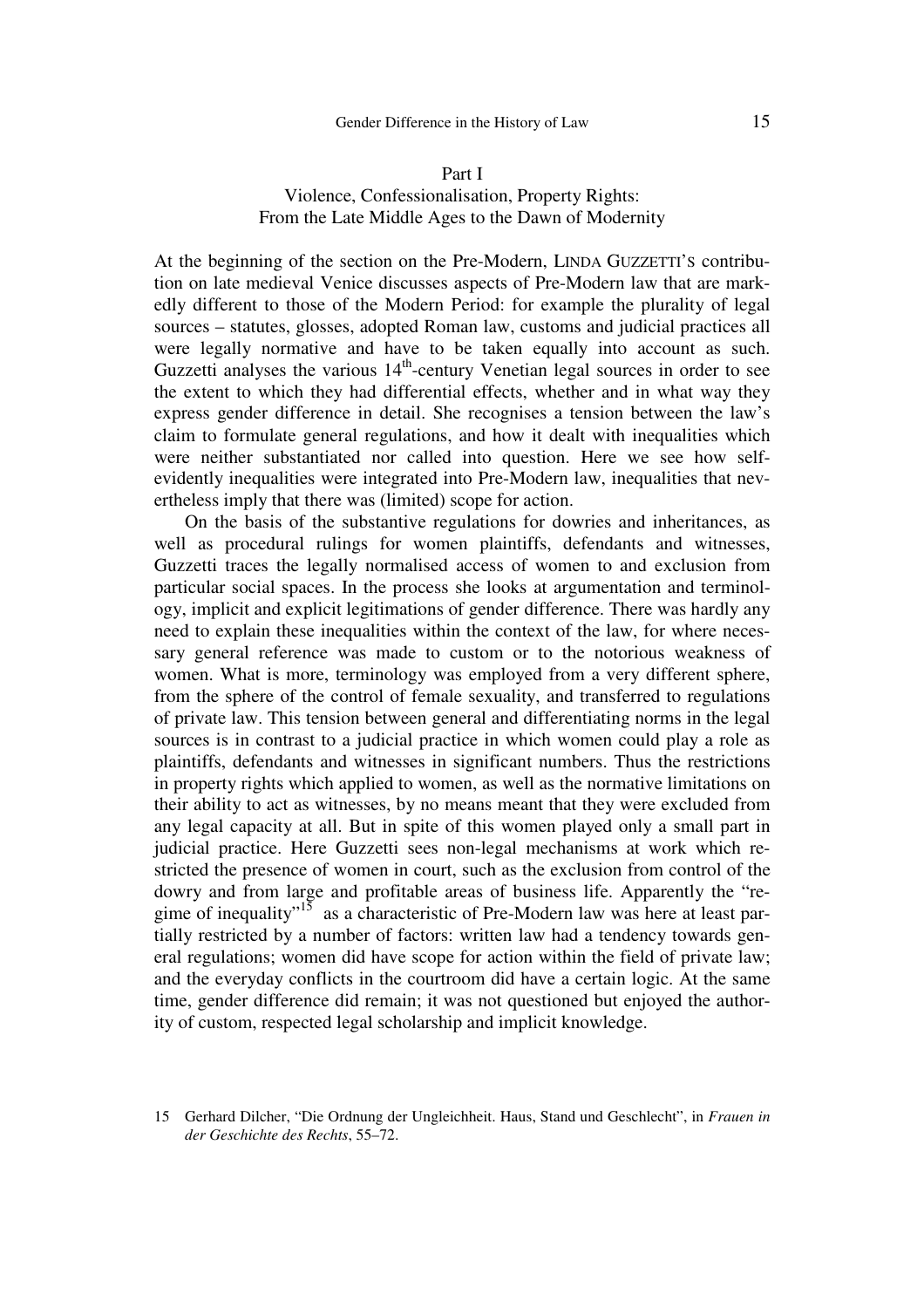### Gender Difference in the History of Law 15

### Part I Violence, Confessionalisation, Property Rights: From the Late Middle Ages to the Dawn of Modernity

At the beginning of the section on the Pre-Modern, LINDA GUZZETTI'S contribution on late medieval Venice discusses aspects of Pre-Modern law that are markedly different to those of the Modern Period: for example the plurality of legal sources – statutes, glosses, adopted Roman law, customs and judicial practices all were legally normative and have to be taken equally into account as such. Guzzetti analyses the various  $14<sup>th</sup>$ -century Venetian legal sources in order to see the extent to which they had differential effects, whether and in what way they express gender difference in detail. She recognises a tension between the law's claim to formulate general regulations, and how it dealt with inequalities which were neither substantiated nor called into question. Here we see how selfevidently inequalities were integrated into Pre-Modern law, inequalities that nevertheless imply that there was (limited) scope for action.

On the basis of the substantive regulations for dowries and inheritances, as well as procedural rulings for women plaintiffs, defendants and witnesses, Guzzetti traces the legally normalised access of women to and exclusion from particular social spaces. In the process she looks at argumentation and terminology, implicit and explicit legitimations of gender difference. There was hardly any need to explain these inequalities within the context of the law, for where necessary general reference was made to custom or to the notorious weakness of women. What is more, terminology was employed from a very different sphere, from the sphere of the control of female sexuality, and transferred to regulations of private law. This tension between general and differentiating norms in the legal sources is in contrast to a judicial practice in which women could play a role as plaintiffs, defendants and witnesses in significant numbers. Thus the restrictions in property rights which applied to women, as well as the normative limitations on their ability to act as witnesses, by no means meant that they were excluded from any legal capacity at all. But in spite of this women played only a small part in judicial practice. Here Guzzetti sees non-legal mechanisms at work which restricted the presence of women in court, such as the exclusion from control of the dowry and from large and profitable areas of business life. Apparently the "regime of inequality"<sup>15</sup> as a characteristic of Pre-Modern law was here at least partially restricted by a number of factors: written law had a tendency towards general regulations; women did have scope for action within the field of private law; and the everyday conflicts in the courtroom did have a certain logic. At the same time, gender difference did remain; it was not questioned but enjoyed the authority of custom, respected legal scholarship and implicit knowledge.

<sup>15</sup> Gerhard Dilcher, "Die Ordnung der Ungleichheit. Haus, Stand und Geschlecht", in *Frauen in der Geschichte des Rechts*, 55–72.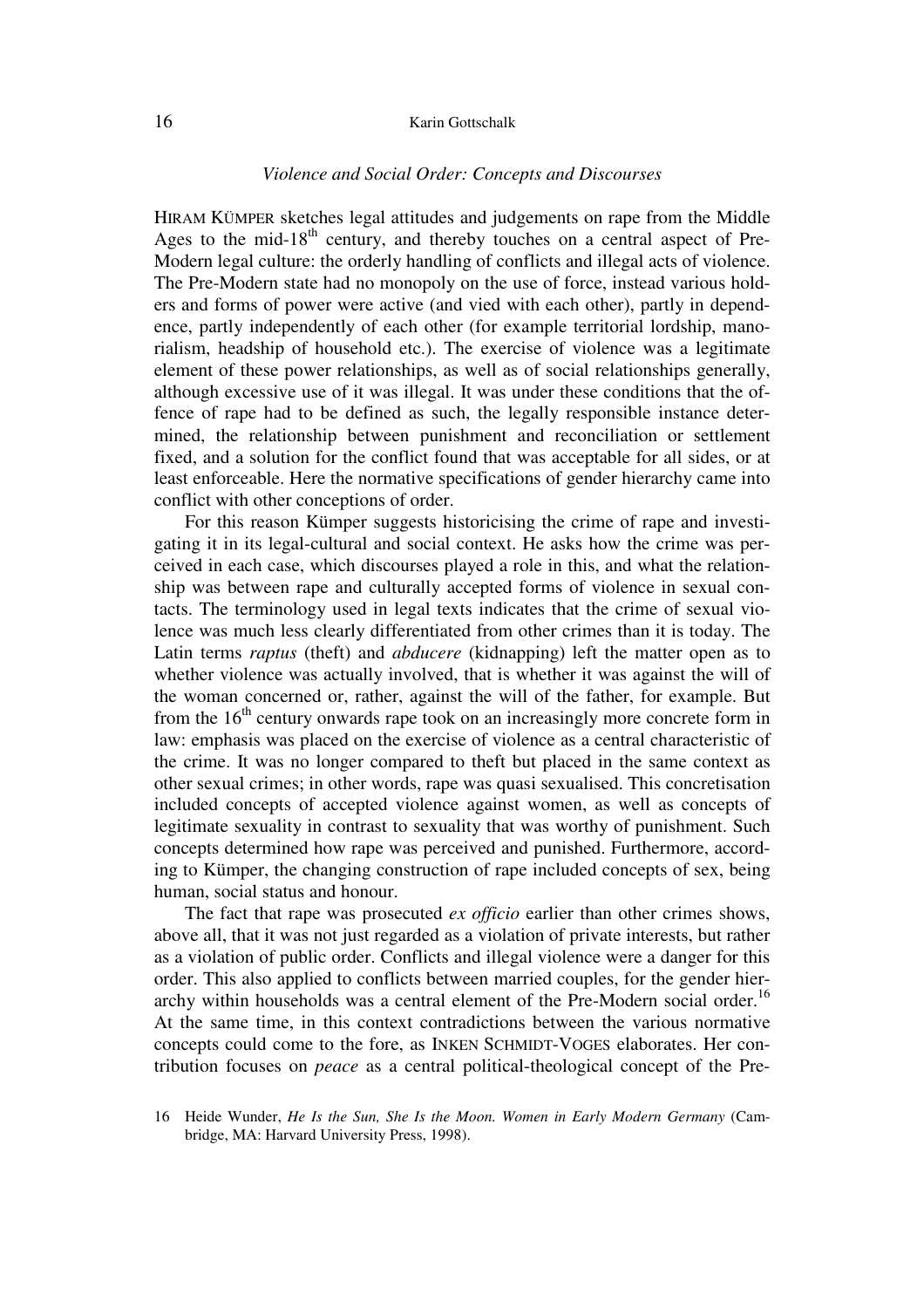#### 16 Karin Gottschalk

### *Violence and Social Order: Concepts and Discourses*

HIRAM KÜMPER sketches legal attitudes and judgements on rape from the Middle Ages to the mid- $18<sup>th</sup>$  century, and thereby touches on a central aspect of Pre-Modern legal culture: the orderly handling of conflicts and illegal acts of violence. The Pre-Modern state had no monopoly on the use of force, instead various holders and forms of power were active (and vied with each other), partly in dependence, partly independently of each other (for example territorial lordship, manorialism, headship of household etc.). The exercise of violence was a legitimate element of these power relationships, as well as of social relationships generally, although excessive use of it was illegal. It was under these conditions that the offence of rape had to be defined as such, the legally responsible instance determined, the relationship between punishment and reconciliation or settlement fixed, and a solution for the conflict found that was acceptable for all sides, or at least enforceable. Here the normative specifications of gender hierarchy came into conflict with other conceptions of order.

For this reason Kümper suggests historicising the crime of rape and investigating it in its legal-cultural and social context. He asks how the crime was perceived in each case, which discourses played a role in this, and what the relationship was between rape and culturally accepted forms of violence in sexual contacts. The terminology used in legal texts indicates that the crime of sexual violence was much less clearly differentiated from other crimes than it is today. The Latin terms *raptus* (theft) and *abducere* (kidnapping) left the matter open as to whether violence was actually involved, that is whether it was against the will of the woman concerned or, rather, against the will of the father, for example. But from the  $16<sup>th</sup>$  century onwards rape took on an increasingly more concrete form in law: emphasis was placed on the exercise of violence as a central characteristic of the crime. It was no longer compared to theft but placed in the same context as other sexual crimes; in other words, rape was quasi sexualised. This concretisation included concepts of accepted violence against women, as well as concepts of legitimate sexuality in contrast to sexuality that was worthy of punishment. Such concepts determined how rape was perceived and punished. Furthermore, according to Kümper, the changing construction of rape included concepts of sex, being human, social status and honour.

The fact that rape was prosecuted *ex officio* earlier than other crimes shows, above all, that it was not just regarded as a violation of private interests, but rather as a violation of public order. Conflicts and illegal violence were a danger for this order. This also applied to conflicts between married couples, for the gender hierarchy within households was a central element of the Pre-Modern social order.<sup>16</sup> At the same time, in this context contradictions between the various normative concepts could come to the fore, as INKEN SCHMIDT-VOGES elaborates. Her contribution focuses on *peace* as a central political-theological concept of the Pre-

<sup>16</sup> Heide Wunder, *He Is the Sun, She Is the Moon. Women in Early Modern Germany* (Cambridge, MA: Harvard University Press, 1998).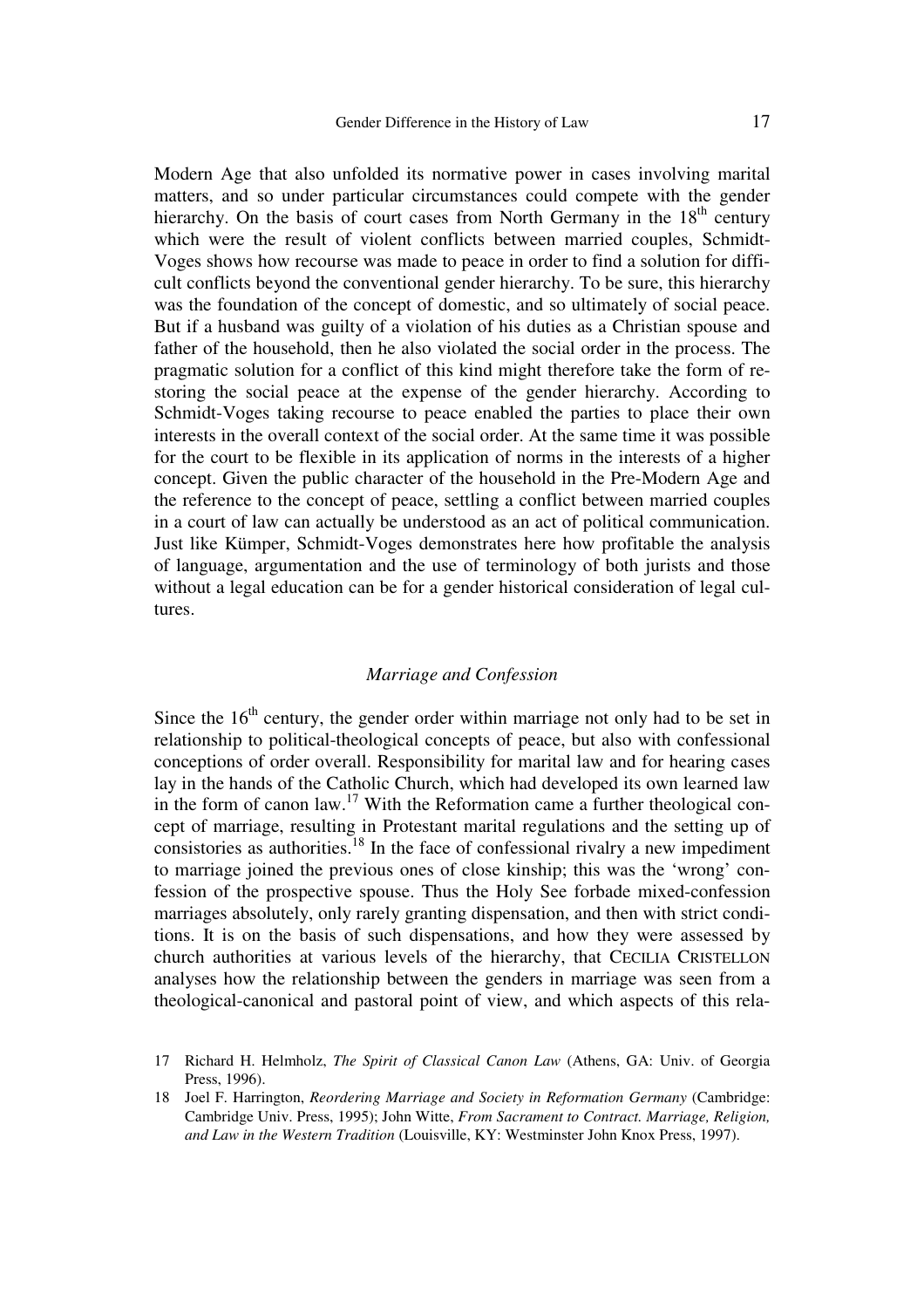Modern Age that also unfolded its normative power in cases involving marital matters, and so under particular circumstances could compete with the gender hierarchy. On the basis of court cases from North Germany in the  $18<sup>th</sup>$  century which were the result of violent conflicts between married couples, Schmidt-Voges shows how recourse was made to peace in order to find a solution for difficult conflicts beyond the conventional gender hierarchy. To be sure, this hierarchy was the foundation of the concept of domestic, and so ultimately of social peace. But if a husband was guilty of a violation of his duties as a Christian spouse and father of the household, then he also violated the social order in the process. The pragmatic solution for a conflict of this kind might therefore take the form of restoring the social peace at the expense of the gender hierarchy. According to Schmidt-Voges taking recourse to peace enabled the parties to place their own interests in the overall context of the social order. At the same time it was possible for the court to be flexible in its application of norms in the interests of a higher concept. Given the public character of the household in the Pre-Modern Age and the reference to the concept of peace, settling a conflict between married couples in a court of law can actually be understood as an act of political communication. Just like Kümper, Schmidt-Voges demonstrates here how profitable the analysis of language, argumentation and the use of terminology of both jurists and those without a legal education can be for a gender historical consideration of legal cultures.

## *Marriage and Confession*

Since the  $16<sup>th</sup>$  century, the gender order within marriage not only had to be set in relationship to political-theological concepts of peace, but also with confessional conceptions of order overall. Responsibility for marital law and for hearing cases lay in the hands of the Catholic Church, which had developed its own learned law in the form of canon law.<sup>17</sup> With the Reformation came a further theological concept of marriage, resulting in Protestant marital regulations and the setting up of consistories as authorities.<sup>18</sup> In the face of confessional rivalry a new impediment to marriage joined the previous ones of close kinship; this was the 'wrong' confession of the prospective spouse. Thus the Holy See forbade mixed-confession marriages absolutely, only rarely granting dispensation, and then with strict conditions. It is on the basis of such dispensations, and how they were assessed by church authorities at various levels of the hierarchy, that CECILIA CRISTELLON analyses how the relationship between the genders in marriage was seen from a theological-canonical and pastoral point of view, and which aspects of this rela-

<sup>17</sup> Richard H. Helmholz, *The Spirit of Classical Canon Law* (Athens, GA: Univ. of Georgia Press, 1996).

<sup>18</sup> Joel F. Harrington, *Reordering Marriage and Society in Reformation Germany* (Cambridge: Cambridge Univ. Press, 1995); John Witte, *From Sacrament to Contract. Marriage, Religion, and Law in the Western Tradition* (Louisville, KY: Westminster John Knox Press, 1997).